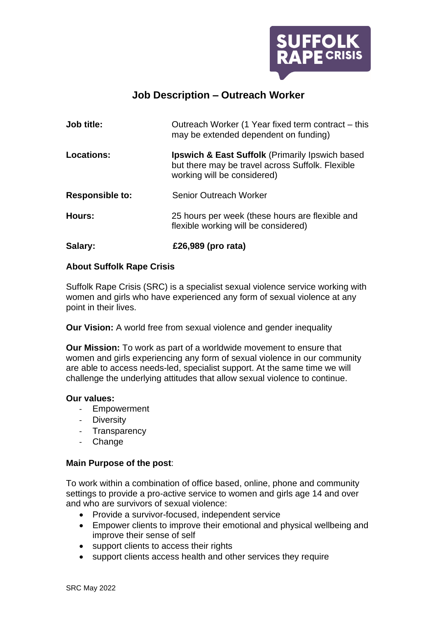

# **Job Description – Outreach Worker**

| Job title:             | Outreach Worker (1 Year fixed term contract – this<br>may be extended dependent on funding)                                                   |
|------------------------|-----------------------------------------------------------------------------------------------------------------------------------------------|
| <b>Locations:</b>      | <b>Ipswich &amp; East Suffolk</b> (Primarily Ipswich based<br>but there may be travel across Suffolk. Flexible<br>working will be considered) |
| <b>Responsible to:</b> | <b>Senior Outreach Worker</b>                                                                                                                 |
| Hours:                 | 25 hours per week (these hours are flexible and<br>flexible working will be considered)                                                       |
| Salary:                | £26,989 (pro rata)                                                                                                                            |

## **About Suffolk Rape Crisis**

Suffolk Rape Crisis (SRC) is a specialist sexual violence service working with women and girls who have experienced any form of sexual violence at any point in their lives.

**Our Vision:** A world free from sexual violence and gender inequality

**Our Mission:** To work as part of a worldwide movement to ensure that women and girls experiencing any form of sexual violence in our community are able to access needs-led, specialist support. At the same time we will challenge the underlying attitudes that allow sexual violence to continue.

#### **Our values:**

- Empowerment
- Diversity
- Transparency
- Change

## **Main Purpose of the post**:

To work within a combination of office based, online, phone and community settings to provide a pro-active service to women and girls age 14 and over and who are survivors of sexual violence:

- Provide a survivor-focused, independent service
- Empower clients to improve their emotional and physical wellbeing and improve their sense of self
- support clients to access their rights
- support clients access health and other services they require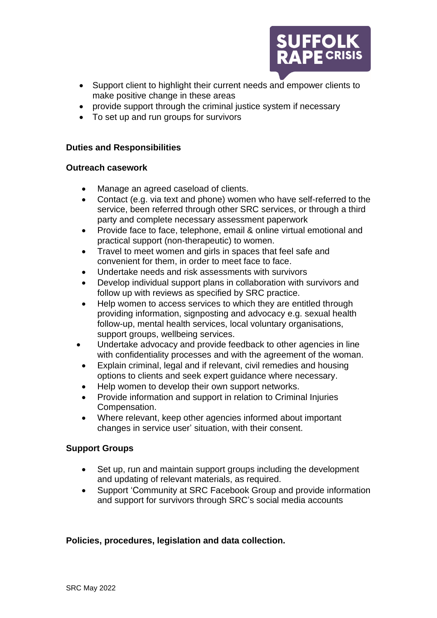

- Support client to highlight their current needs and empower clients to make positive change in these areas
- provide support through the criminal justice system if necessary
- To set up and run groups for survivors

#### **Duties and Responsibilities**

#### **Outreach casework**

- Manage an agreed caseload of clients.
- Contact (e.g. via text and phone) women who have self-referred to the service, been referred through other SRC services, or through a third party and complete necessary assessment paperwork
- Provide face to face, telephone, email & online virtual emotional and practical support (non-therapeutic) to women.
- Travel to meet women and girls in spaces that feel safe and convenient for them, in order to meet face to face.
- Undertake needs and risk assessments with survivors
- Develop individual support plans in collaboration with survivors and follow up with reviews as specified by SRC practice.
- Help women to access services to which they are entitled through providing information, signposting and advocacy e.g. sexual health follow-up, mental health services, local voluntary organisations, support groups, wellbeing services.
- Undertake advocacy and provide feedback to other agencies in line with confidentiality processes and with the agreement of the woman.
- Explain criminal, legal and if relevant, civil remedies and housing options to clients and seek expert guidance where necessary.
- Help women to develop their own support networks.
- Provide information and support in relation to Criminal Injuries Compensation.
- Where relevant, keep other agencies informed about important changes in service user' situation, with their consent.

## **Support Groups**

- Set up, run and maintain support groups including the development and updating of relevant materials, as required.
- Support 'Community at SRC Facebook Group and provide information and support for survivors through SRC's social media accounts

## **Policies, procedures, legislation and data collection.**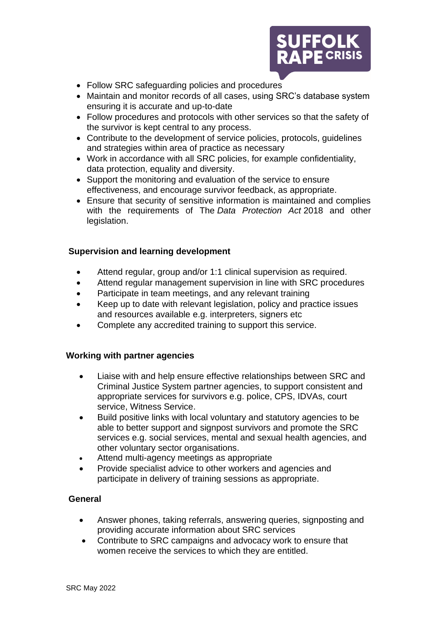

- Follow SRC safeguarding policies and procedures
- Maintain and monitor records of all cases, using SRC's database system ensuring it is accurate and up-to-date
- Follow procedures and protocols with other services so that the safety of the survivor is kept central to any process.
- Contribute to the development of service policies, protocols, guidelines and strategies within area of practice as necessary
- Work in accordance with all SRC policies, for example confidentiality, data protection, equality and diversity.
- Support the monitoring and evaluation of the service to ensure effectiveness, and encourage survivor feedback, as appropriate.
- Ensure that security of sensitive information is maintained and complies with the requirements of The *Data Protection Act* 2018 and other legislation.

## **Supervision and learning development**

- Attend regular, group and/or 1:1 clinical supervision as required.
- Attend regular management supervision in line with SRC procedures
- Participate in team meetings, and any relevant training
- Keep up to date with relevant legislation, policy and practice issues and resources available e.g. interpreters, signers etc
- Complete any accredited training to support this service.

#### **Working with partner agencies**

- Liaise with and help ensure effective relationships between SRC and Criminal Justice System partner agencies, to support consistent and appropriate services for survivors e.g. police, CPS, IDVAs, court service, Witness Service.
- Build positive links with local voluntary and statutory agencies to be able to better support and signpost survivors and promote the SRC services e.g. social services, mental and sexual health agencies, and other voluntary sector organisations.
- Attend multi-agency meetings as appropriate
- Provide specialist advice to other workers and agencies and participate in delivery of training sessions as appropriate.

## **General**

- Answer phones, taking referrals, answering queries, signposting and providing accurate information about SRC services
- Contribute to SRC campaigns and advocacy work to ensure that women receive the services to which they are entitled.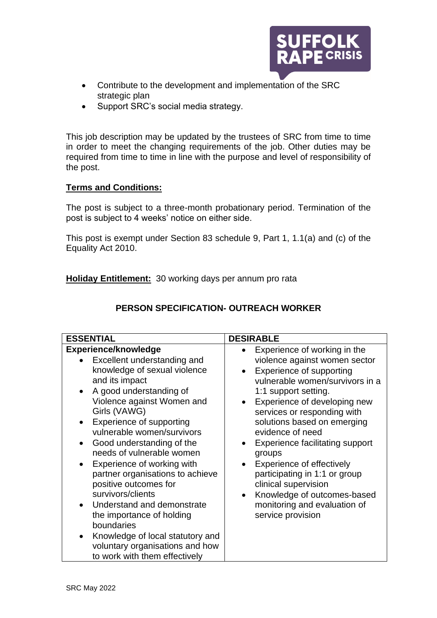

- Contribute to the development and implementation of the SRC strategic plan
- Support SRC's social media strategy.

This job description may be updated by the trustees of SRC from time to time in order to meet the changing requirements of the job. Other duties may be required from time to time in line with the purpose and level of responsibility of the post.

## **Terms and Conditions:**

The post is subject to a three-month probationary period. Termination of the post is subject to 4 weeks' notice on either side.

This post is exempt under Section 83 schedule 9, Part 1, 1.1(a) and (c) of the Equality Act 2010.

**Holiday Entitlement:** 30 working days per annum pro rata

| <b>ESSENTIAL</b>                                                                                                                                                                                                                                                                                                                                                                                                                       | <b>DESIRABLE</b>                                                                                                                                                                                                                                                                                                                                                                                                                                |
|----------------------------------------------------------------------------------------------------------------------------------------------------------------------------------------------------------------------------------------------------------------------------------------------------------------------------------------------------------------------------------------------------------------------------------------|-------------------------------------------------------------------------------------------------------------------------------------------------------------------------------------------------------------------------------------------------------------------------------------------------------------------------------------------------------------------------------------------------------------------------------------------------|
| <b>Experience/knowledge</b><br>Excellent understanding and<br>knowledge of sexual violence<br>and its impact<br>A good understanding of<br>Violence against Women and<br>Girls (VAWG)<br>Experience of supporting<br>vulnerable women/survivors<br>Good understanding of the<br>$\bullet$<br>needs of vulnerable women<br>Experience of working with<br>partner organisations to achieve<br>positive outcomes for<br>survivors/clients | Experience of working in the<br>violence against women sector<br>Experience of supporting<br>vulnerable women/survivors in a<br>1:1 support setting.<br>Experience of developing new<br>services or responding with<br>solutions based on emerging<br>evidence of need<br><b>Experience facilitating support</b><br>groups<br>Experience of effectively<br>participating in 1:1 or group<br>clinical supervision<br>Knowledge of outcomes-based |
| Understand and demonstrate<br>the importance of holding<br>boundaries<br>Knowledge of local statutory and<br>$\bullet$<br>voluntary organisations and how<br>to work with them effectively                                                                                                                                                                                                                                             | monitoring and evaluation of<br>service provision                                                                                                                                                                                                                                                                                                                                                                                               |

## **PERSON SPECIFICATION- OUTREACH WORKER**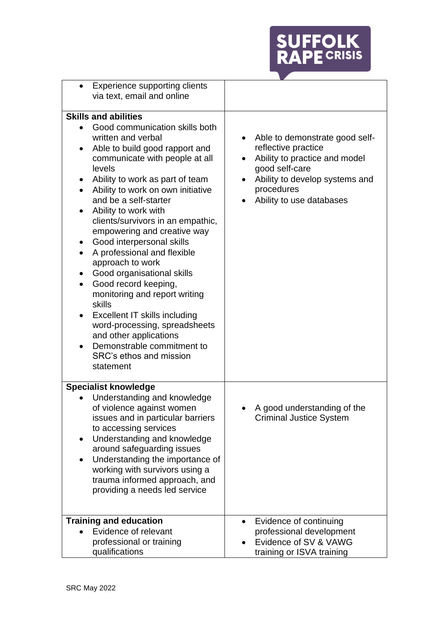

| <b>Experience supporting clients</b>                                                                                                                                                                                                                                                                                                                                                                                                                                                                                                                                                                                                                                                                                     |                                                                                                                                                                                                   |
|--------------------------------------------------------------------------------------------------------------------------------------------------------------------------------------------------------------------------------------------------------------------------------------------------------------------------------------------------------------------------------------------------------------------------------------------------------------------------------------------------------------------------------------------------------------------------------------------------------------------------------------------------------------------------------------------------------------------------|---------------------------------------------------------------------------------------------------------------------------------------------------------------------------------------------------|
| via text, email and online                                                                                                                                                                                                                                                                                                                                                                                                                                                                                                                                                                                                                                                                                               |                                                                                                                                                                                                   |
| <b>Skills and abilities</b>                                                                                                                                                                                                                                                                                                                                                                                                                                                                                                                                                                                                                                                                                              |                                                                                                                                                                                                   |
|                                                                                                                                                                                                                                                                                                                                                                                                                                                                                                                                                                                                                                                                                                                          |                                                                                                                                                                                                   |
| Good communication skills both<br>written and verbal<br>Able to build good rapport and<br>communicate with people at all<br>levels<br>Ability to work as part of team<br>Ability to work on own initiative<br>and be a self-starter<br>Ability to work with<br>clients/survivors in an empathic,<br>empowering and creative way<br>Good interpersonal skills<br>A professional and flexible<br>$\bullet$<br>approach to work<br>Good organisational skills<br>Good record keeping,<br>$\bullet$<br>monitoring and report writing<br>skills<br><b>Excellent IT skills including</b><br>٠<br>word-processing, spreadsheets<br>and other applications<br>Demonstrable commitment to<br>SRC's ethos and mission<br>statement | Able to demonstrate good self-<br>$\bullet$<br>reflective practice<br>Ability to practice and model<br>good self-care<br>Ability to develop systems and<br>procedures<br>Ability to use databases |
| <b>Specialist knowledge</b>                                                                                                                                                                                                                                                                                                                                                                                                                                                                                                                                                                                                                                                                                              |                                                                                                                                                                                                   |
| Understanding and knowledge<br>of violence against women                                                                                                                                                                                                                                                                                                                                                                                                                                                                                                                                                                                                                                                                 | A good understanding of the                                                                                                                                                                       |
| issues and in particular barriers                                                                                                                                                                                                                                                                                                                                                                                                                                                                                                                                                                                                                                                                                        | <b>Criminal Justice System</b>                                                                                                                                                                    |
| to accessing services                                                                                                                                                                                                                                                                                                                                                                                                                                                                                                                                                                                                                                                                                                    |                                                                                                                                                                                                   |
| Understanding and knowledge                                                                                                                                                                                                                                                                                                                                                                                                                                                                                                                                                                                                                                                                                              |                                                                                                                                                                                                   |
| around safeguarding issues                                                                                                                                                                                                                                                                                                                                                                                                                                                                                                                                                                                                                                                                                               |                                                                                                                                                                                                   |
| Understanding the importance of<br>$\bullet$                                                                                                                                                                                                                                                                                                                                                                                                                                                                                                                                                                                                                                                                             |                                                                                                                                                                                                   |
| working with survivors using a                                                                                                                                                                                                                                                                                                                                                                                                                                                                                                                                                                                                                                                                                           |                                                                                                                                                                                                   |
| trauma informed approach, and                                                                                                                                                                                                                                                                                                                                                                                                                                                                                                                                                                                                                                                                                            |                                                                                                                                                                                                   |
| providing a needs led service                                                                                                                                                                                                                                                                                                                                                                                                                                                                                                                                                                                                                                                                                            |                                                                                                                                                                                                   |
|                                                                                                                                                                                                                                                                                                                                                                                                                                                                                                                                                                                                                                                                                                                          |                                                                                                                                                                                                   |
| <b>Training and education</b>                                                                                                                                                                                                                                                                                                                                                                                                                                                                                                                                                                                                                                                                                            | Evidence of continuing<br>$\bullet$                                                                                                                                                               |
| Evidence of relevant                                                                                                                                                                                                                                                                                                                                                                                                                                                                                                                                                                                                                                                                                                     | professional development                                                                                                                                                                          |
| professional or training                                                                                                                                                                                                                                                                                                                                                                                                                                                                                                                                                                                                                                                                                                 | Evidence of SV & VAWG                                                                                                                                                                             |
| qualifications                                                                                                                                                                                                                                                                                                                                                                                                                                                                                                                                                                                                                                                                                                           | training or ISVA training                                                                                                                                                                         |